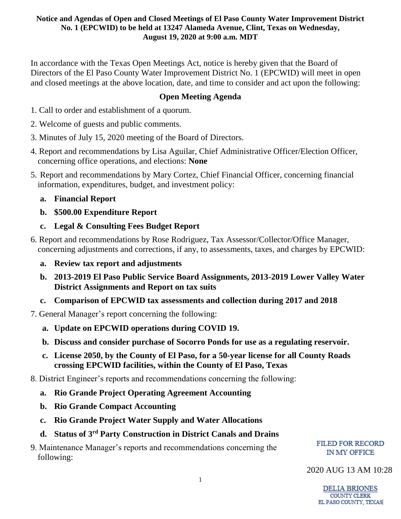#### **Notice and Agendas of Open and Closed Meetings of El Paso County Water Improvement District No. 1 (EPCWID) to be held at 13247 Alameda Avenue, Clint, Texas on Wednesday, August 19, 2020 at 9:00 a.m. MDT**

In accordance with the Texas Open Meetings Act, notice is hereby given that the Board of Directors of the El Paso County Water Improvement District No. 1 (EPCWID) will meet in open and closed meetings at the above location, date, and time to consider and act upon the following:

# **Open Meeting Agenda**

- 1. Call to order and establishment of a quorum.
- 2. Welcome of guests and public comments.
- 3. Minutes of July 15, 2020 meeting of the Board of Directors.
- 4. Report and recommendations by Lisa Aguilar, Chief Administrative Officer/Election Officer, concerning office operations, and elections: **None**
- 5. Report and recommendations by Mary Cortez, Chief Financial Officer, concerning financial information, expenditures, budget, and investment policy:

# **a. Financial Report**

- **b. \$500.00 Expenditure Report**
- **c. Legal & Consulting Fees Budget Report**
- 6. Report and recommendations by Rose Rodriguez, Tax Assessor/Collector/Office Manager, concerning adjustments and corrections, if any, to assessments, taxes, and charges by EPCWID:
	- **a. Review tax report and adjustments**
	- **b. 2013-2019 El Paso Public Service Board Assignments, 2013-2019 Lower Valley Water District Assignments and Report on tax suits**
	- **c. Comparison of EPCWID tax assessments and collection during 2017 and 2018**
- 7. General Manager's report concerning the following:
	- **a. Update on EPCWID operations during COVID 19.**
	- **b. Discuss and consider purchase of Socorro Ponds for use as a regulating reservoir.**
	- **c. License 2050, by the County of El Paso, for a 50-year license for all County Roads crossing EPCWID facilities, within the County of El Paso, Texas**
- 8. District Engineer's reports and recommendations concerning the following:
	- **a. Rio Grande Project Operating Agreement Accounting**
	- **b. Rio Grande Compact Accounting**
	- **c. Rio Grande Project Water Supply and Water Allocations**
	- **d. Status of 3rd Party Construction in District Canals and Drains**
- 9. Maintenance Manager's reports and recommendations concerning the following:

### **FILED FOR RECORD** IN MY OFFICE

# 2020 AUG 13 AM 10:28

**DELIA BRIONES COUNTY CLERK** EL PASO COUNTY, TEXAS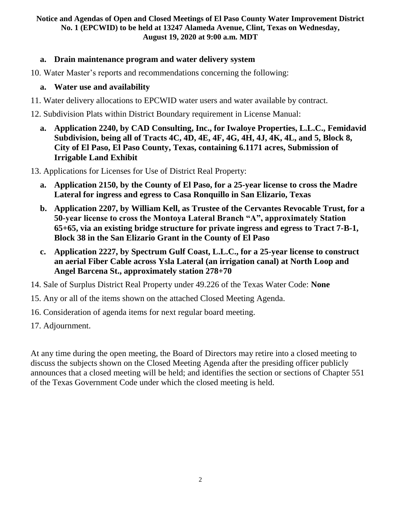#### **Notice and Agendas of Open and Closed Meetings of El Paso County Water Improvement District No. 1 (EPCWID) to be held at 13247 Alameda Avenue, Clint, Texas on Wednesday, August 19, 2020 at 9:00 a.m. MDT**

## **a. Drain maintenance program and water delivery system**

10. Water Master's reports and recommendations concerning the following:

## **a. Water use and availability**

- 11. Water delivery allocations to EPCWID water users and water available by contract.
- 12. Subdivision Plats within District Boundary requirement in License Manual:
	- **a. Application 2240, by CAD Consulting, Inc., for Iwaloye Properties, L.L.C., Femidavid Subdivision, being all of Tracts 4C, 4D, 4E, 4F, 4G, 4H, 4J, 4K, 4L, and 5, Block 8, City of El Paso, El Paso County, Texas, containing 6.1171 acres, Submission of Irrigable Land Exhibit**

13. Applications for Licenses for Use of District Real Property:

- **a. Application 2150, by the County of El Paso, for a 25-year license to cross the Madre Lateral for ingress and egress to Casa Ronquillo in San Elizario, Texas**
- **b. Application 2207, by William Kell, as Trustee of the Cervantes Revocable Trust, for a 50-year license to cross the Montoya Lateral Branch "A", approximately Station 65+65, via an existing bridge structure for private ingress and egress to Tract 7-B-1, Block 38 in the San Elizario Grant in the County of El Paso**
- **c. Application 2227, by Spectrum Gulf Coast, L.L.C., for a 25-year license to construct an aerial Fiber Cable across Ysla Lateral (an irrigation canal) at North Loop and Angel Barcena St., approximately station 278+70**
- 14. Sale of Surplus District Real Property under 49.226 of the Texas Water Code: **None**
- 15. Any or all of the items shown on the attached Closed Meeting Agenda.
- 16. Consideration of agenda items for next regular board meeting.
- 17. Adjournment.

At any time during the open meeting, the Board of Directors may retire into a closed meeting to discuss the subjects shown on the Closed Meeting Agenda after the presiding officer publicly announces that a closed meeting will be held; and identifies the section or sections of Chapter 551 of the Texas Government Code under which the closed meeting is held.